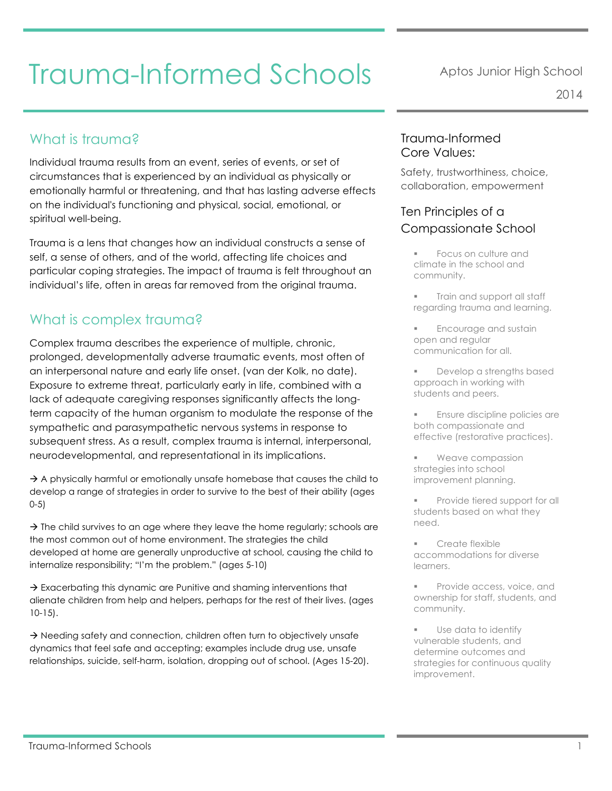# What is trauma?

Individual trauma results from an event, series of events, or set of circumstances that is experienced by an individual as physically or emotionally harmful or threatening, and that has lasting adverse effects on the individual's functioning and physical, social, emotional, or spiritual well-being.

Trauma is a lens that changes how an individual constructs a sense of self, a sense of others, and of the world, affecting life choices and particular coping strategies. The impact of trauma is felt throughout an individual's life, often in areas far removed from the original trauma.

#### What is complex trauma?

Complex trauma describes the experience of multiple, chronic, prolonged, developmentally adverse traumatic events, most often of an interpersonal nature and early life onset. (van der Kolk, no date). Exposure to extreme threat, particularly early in life, combined with a lack of adequate caregiving responses significantly affects the longterm capacity of the human organism to modulate the response of the sympathetic and parasympathetic nervous systems in response to subsequent stress. As a result, complex trauma is internal, interpersonal, neurodevelopmental, and representational in its implications.

 $\rightarrow$  A physically harmful or emotionally unsafe homebase that causes the child to develop a range of strategies in order to survive to the best of their ability (ages 0-5)

 $\rightarrow$  The child survives to an age where they leave the home regularly; schools are the most common out of home environment. The strategies the child developed at home are generally unproductive at school, causing the child to internalize responsibility; "I'm the problem." (ages 5-10)

 $\rightarrow$  Exacerbating this dynamic are Punitive and shaming interventions that alienate children from help and helpers, perhaps for the rest of their lives. (ages 10-15).

 $\rightarrow$  Needing safety and connection, children often turn to objectively unsafe dynamics that feel safe and accepting; examples include drug use, unsafe relationships, suicide, self-harm, isolation, dropping out of school. (Ages 15-20).

### Trauma-Informed Core Values:

Safety, trustworthiness, choice, collaboration, empowerment

### Ten Principles of a Compassionate School

- § Focus on culture and climate in the school and community.
- § Train and support all staff regarding trauma and learning.
- § Encourage and sustain open and regular communication for all.
- § Develop a strengths based approach in working with students and peers.
- § Ensure discipline policies are both compassionate and effective (restorative practices).
- Weave compassion strategies into school improvement planning.
- Provide tiered support for all students based on what they need.
- § Create flexible accommodations for diverse learners.
- § Provide access, voice, and ownership for staff, students, and community.
- Use data to identify vulnerable students, and determine outcomes and strategies for continuous quality improvement.

2014